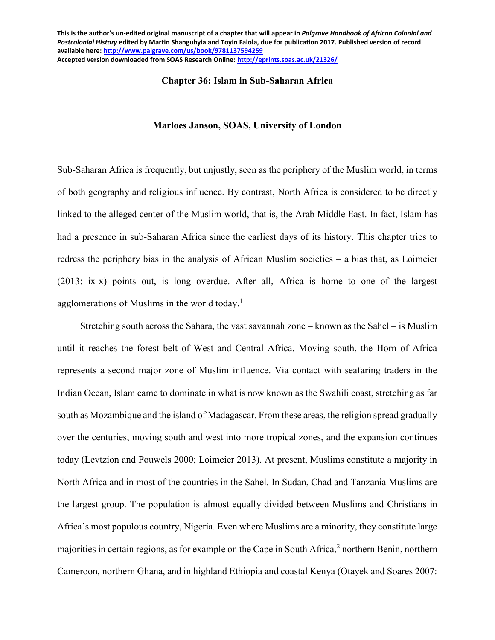#### **Chapter 36: Islam in Sub-Saharan Africa**

#### **Marloes Janson, SOAS, University of London**

Sub-Saharan Africa is frequently, but unjustly, seen as the periphery of the Muslim world, in terms of both geography and religious influence. By contrast, North Africa is considered to be directly linked to the alleged center of the Muslim world, that is, the Arab Middle East. In fact, Islam has had a presence in sub-Saharan Africa since the earliest days of its history. This chapter tries to redress the periphery bias in the analysis of African Muslim societies – a bias that, as Loimeier (2013: ix-x) points out, is long overdue. After all, Africa is home to one of the largest agglomerations of Muslims in the world today.<sup>1</sup>

Stretching south across the Sahara, the vast savannah zone – known as the Sahel – is Muslim until it reaches the forest belt of West and Central Africa. Moving south, the Horn of Africa represents a second major zone of Muslim influence. Via contact with seafaring traders in the Indian Ocean, Islam came to dominate in what is now known as the Swahili coast, stretching as far south as Mozambique and the island of Madagascar. From these areas, the religion spread gradually over the centuries, moving south and west into more tropical zones, and the expansion continues today (Levtzion and Pouwels 2000; Loimeier 2013). At present, Muslims constitute a majority in North Africa and in most of the countries in the Sahel. In Sudan, Chad and Tanzania Muslims are the largest group. The population is almost equally divided between Muslims and Christians in Africa's most populous country, Nigeria. Even where Muslims are a minority, they constitute large majorities in certain regions, as for example on the Cape in South Africa,<sup>2</sup> northern Benin, northern Cameroon, northern Ghana, and in highland Ethiopia and coastal Kenya (Otayek and Soares 2007: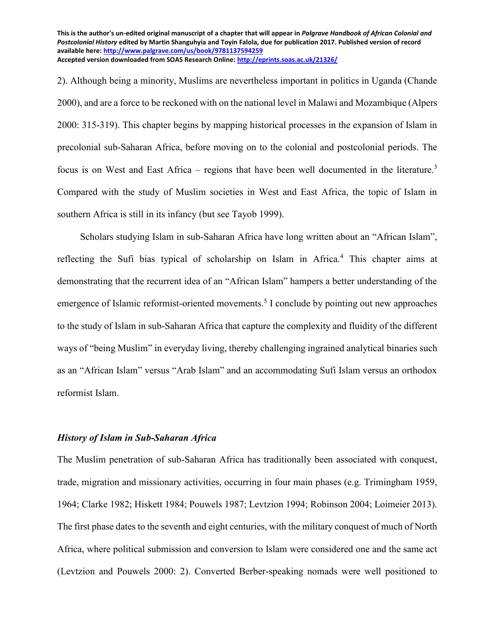2). Although being a minority, Muslims are nevertheless important in politics in Uganda (Chande 2000), and are a force to be reckoned with on the national level in Malawi and Mozambique (Alpers 2000: 315-319). This chapter begins by mapping historical processes in the expansion of Islam in precolonial sub-Saharan Africa, before moving on to the colonial and postcolonial periods. The focus is on West and East Africa – regions that have been well documented in the literature.<sup>3</sup> Compared with the study of Muslim societies in West and East Africa, the topic of Islam in southern Africa is still in its infancy (but see Tayob 1999).

Scholars studying Islam in sub-Saharan Africa have long written about an "African Islam", reflecting the Sufi bias typical of scholarship on Islam in Africa.<sup>4</sup> This chapter aims at demonstrating that the recurrent idea of an "African Islam" hampers a better understanding of the emergence of Islamic reformist-oriented movements.<sup>5</sup> I conclude by pointing out new approaches to the study of Islam in sub-Saharan Africa that capture the complexity and fluidity of the different ways of "being Muslim" in everyday living, thereby challenging ingrained analytical binaries such as an "African Islam" versus "Arab Islam" and an accommodating Sufi Islam versus an orthodox reformist Islam.

## *History of Islam in Sub-Saharan Africa*

The Muslim penetration of sub-Saharan Africa has traditionally been associated with conquest, trade, migration and missionary activities, occurring in four main phases (e.g. Trimingham 1959, 1964; Clarke 1982; Hiskett 1984; Pouwels 1987; Levtzion 1994; Robinson 2004; Loimeier 2013). The first phase dates to the seventh and eight centuries, with the military conquest of much of North Africa, where political submission and conversion to Islam were considered one and the same act (Levtzion and Pouwels 2000: 2). Converted Berber-speaking nomads were well positioned to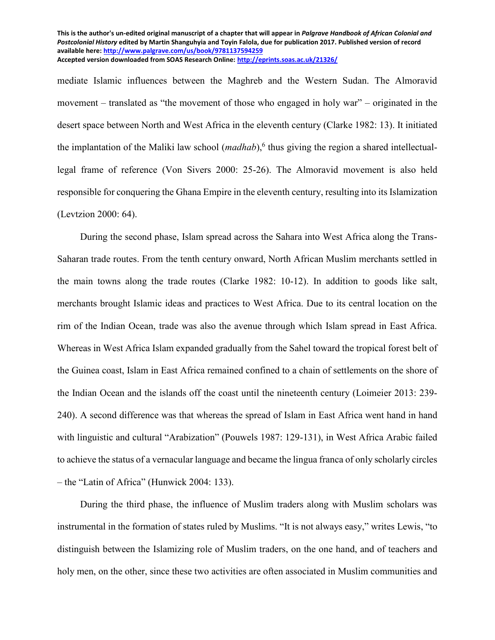mediate Islamic influences between the Maghreb and the Western Sudan. The Almoravid movement – translated as "the movement of those who engaged in holy war" – originated in the desert space between North and West Africa in the eleventh century (Clarke 1982: 13). It initiated the implantation of the Maliki law school (*madhab*),<sup>6</sup> thus giving the region a shared intellectuallegal frame of reference (Von Sivers 2000: 25-26). The Almoravid movement is also held responsible for conquering the Ghana Empire in the eleventh century, resulting into its Islamization (Levtzion 2000: 64).

During the second phase, Islam spread across the Sahara into West Africa along the Trans-Saharan trade routes. From the tenth century onward, North African Muslim merchants settled in the main towns along the trade routes (Clarke 1982: 10-12). In addition to goods like salt, merchants brought Islamic ideas and practices to West Africa. Due to its central location on the rim of the Indian Ocean, trade was also the avenue through which Islam spread in East Africa. Whereas in West Africa Islam expanded gradually from the Sahel toward the tropical forest belt of the Guinea coast, Islam in East Africa remained confined to a chain of settlements on the shore of the Indian Ocean and the islands off the coast until the nineteenth century (Loimeier 2013: 239- 240). A second difference was that whereas the spread of Islam in East Africa went hand in hand with linguistic and cultural "Arabization" (Pouwels 1987: 129-131), in West Africa Arabic failed to achieve the status of a vernacular language and became the lingua franca of only scholarly circles – the "Latin of Africa" (Hunwick 2004: 133).

During the third phase, the influence of Muslim traders along with Muslim scholars was instrumental in the formation of states ruled by Muslims. "It is not always easy," writes Lewis, "to distinguish between the Islamizing role of Muslim traders, on the one hand, and of teachers and holy men, on the other, since these two activities are often associated in Muslim communities and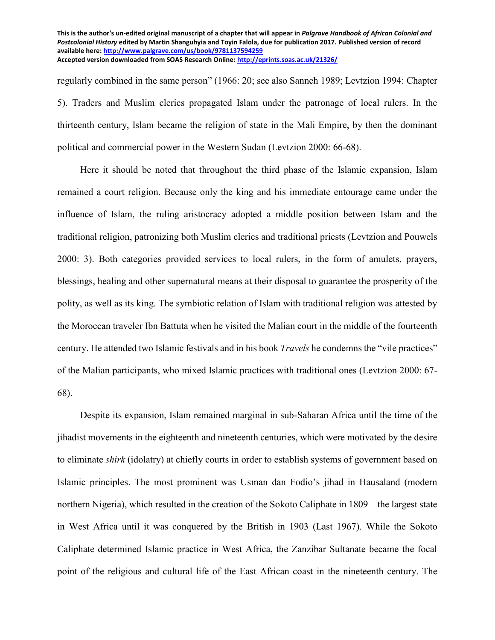regularly combined in the same person" (1966: 20; see also Sanneh 1989; Levtzion 1994: Chapter 5). Traders and Muslim clerics propagated Islam under the patronage of local rulers. In the thirteenth century, Islam became the religion of state in the Mali Empire, by then the dominant political and commercial power in the Western Sudan (Levtzion 2000: 66-68).

Here it should be noted that throughout the third phase of the Islamic expansion, Islam remained a court religion. Because only the king and his immediate entourage came under the influence of Islam, the ruling aristocracy adopted a middle position between Islam and the traditional religion, patronizing both Muslim clerics and traditional priests (Levtzion and Pouwels 2000: 3). Both categories provided services to local rulers, in the form of amulets, prayers, blessings, healing and other supernatural means at their disposal to guarantee the prosperity of the polity, as well as its king. The symbiotic relation of Islam with traditional religion was attested by the Moroccan traveler Ibn Battuta when he visited the Malian court in the middle of the fourteenth century. He attended two Islamic festivals and in his book *Travels* he condemns the "vile practices" of the Malian participants, who mixed Islamic practices with traditional ones (Levtzion 2000: 67- 68).

Despite its expansion, Islam remained marginal in sub-Saharan Africa until the time of the jihadist movements in the eighteenth and nineteenth centuries, which were motivated by the desire to eliminate *shirk* (idolatry) at chiefly courts in order to establish systems of government based on Islamic principles. The most prominent was Usman dan Fodio's jihad in Hausaland (modern northern Nigeria), which resulted in the creation of the Sokoto Caliphate in 1809 – the largest state in West Africa until it was conquered by the British in 1903 (Last 1967). While the Sokoto Caliphate determined Islamic practice in West Africa, the Zanzibar Sultanate became the focal point of the religious and cultural life of the East African coast in the nineteenth century. The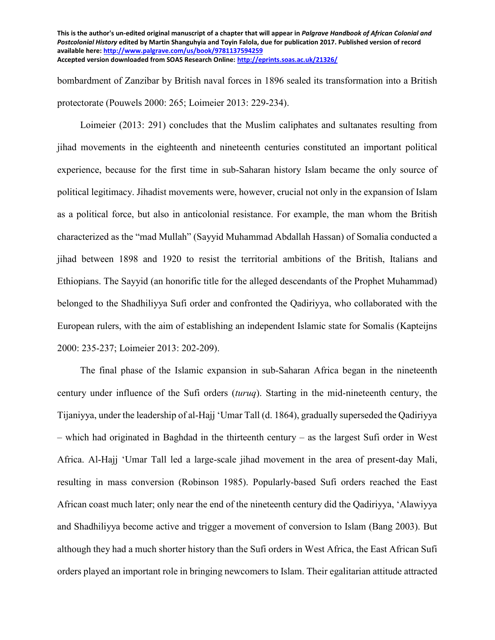bombardment of Zanzibar by British naval forces in 1896 sealed its transformation into a British protectorate (Pouwels 2000: 265; Loimeier 2013: 229-234).

Loimeier (2013: 291) concludes that the Muslim caliphates and sultanates resulting from jihad movements in the eighteenth and nineteenth centuries constituted an important political experience, because for the first time in sub-Saharan history Islam became the only source of political legitimacy. Jihadist movements were, however, crucial not only in the expansion of Islam as a political force, but also in anticolonial resistance. For example, the man whom the British characterized as the "mad Mullah" (Sayyid Muhammad Abdallah Hassan) of Somalia conducted a jihad between 1898 and 1920 to resist the territorial ambitions of the British, Italians and Ethiopians. The Sayyid (an honorific title for the alleged descendants of the Prophet Muhammad) belonged to the Shadhiliyya Sufi order and confronted the Qadiriyya, who collaborated with the European rulers, with the aim of establishing an independent Islamic state for Somalis (Kapteijns 2000: 235-237; Loimeier 2013: 202-209).

The final phase of the Islamic expansion in sub-Saharan Africa began in the nineteenth century under influence of the Sufi orders (*turuq*). Starting in the mid-nineteenth century, the Tijaniyya, under the leadership of al-Hajj 'Umar Tall (d. 1864), gradually superseded the Qadiriyya – which had originated in Baghdad in the thirteenth century – as the largest Sufi order in West Africa. Al-Hajj 'Umar Tall led a large-scale jihad movement in the area of present-day Mali, resulting in mass conversion (Robinson 1985). Popularly-based Sufi orders reached the East African coast much later; only near the end of the nineteenth century did the Qadiriyya, 'Alawiyya and Shadhiliyya become active and trigger a movement of conversion to Islam (Bang 2003). But although they had a much shorter history than the Sufi orders in West Africa, the East African Sufi orders played an important role in bringing newcomers to Islam. Their egalitarian attitude attracted

**This is the author's un-edited original manuscript of a chapter that will appear in** *Palgrave Handbook of African Colonial and Postcolonial History* **edited by Martin Shanguhyia and Toyin Falola, due for publication 2017. Published version of record available here:<http://www.palgrave.com/us/book/9781137594259> Accepted version downloaded from SOAS Research Online[: http://eprints.soas.ac.uk/21326/](http://eprints.soas.ac.uk/21326/)**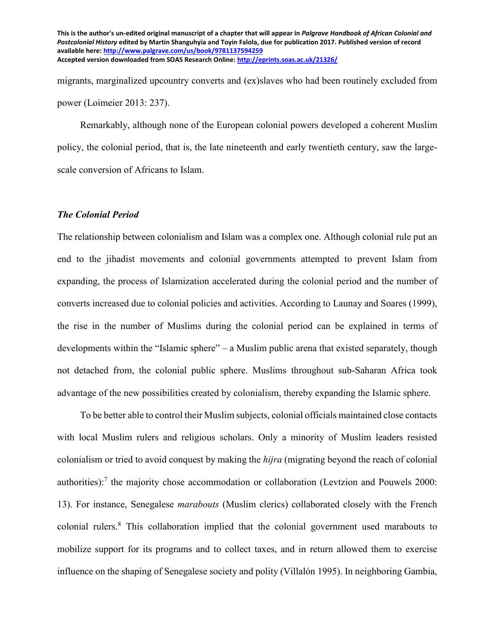migrants, marginalized upcountry converts and (ex)slaves who had been routinely excluded from power (Loimeier 2013: 237).

Remarkably, although none of the European colonial powers developed a coherent Muslim policy, the colonial period, that is, the late nineteenth and early twentieth century, saw the largescale conversion of Africans to Islam.

# *The Colonial Period*

The relationship between colonialism and Islam was a complex one. Although colonial rule put an end to the jihadist movements and colonial governments attempted to prevent Islam from expanding, the process of Islamization accelerated during the colonial period and the number of converts increased due to colonial policies and activities. According to Launay and Soares (1999), the rise in the number of Muslims during the colonial period can be explained in terms of developments within the "Islamic sphere" – a Muslim public arena that existed separately, though not detached from, the colonial public sphere. Muslims throughout sub-Saharan Africa took advantage of the new possibilities created by colonialism, thereby expanding the Islamic sphere.

To be better able to control their Muslim subjects, colonial officials maintained close contacts with local Muslim rulers and religious scholars. Only a minority of Muslim leaders resisted colonialism or tried to avoid conquest by making the *hijra* (migrating beyond the reach of colonial authorities):<sup>7</sup> the majority chose accommodation or collaboration (Levtzion and Pouwels 2000: 13). For instance, Senegalese *marabouts* (Muslim clerics) collaborated closely with the French colonial rulers.<sup>8</sup> This collaboration implied that the colonial government used marabouts to mobilize support for its programs and to collect taxes, and in return allowed them to exercise influence on the shaping of Senegalese society and polity (Villalón 1995). In neighboring Gambia,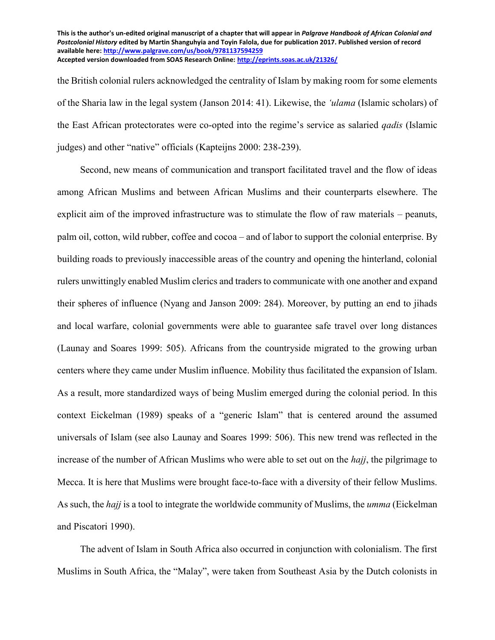the British colonial rulers acknowledged the centrality of Islam by making room for some elements of the Sharia law in the legal system (Janson 2014: 41). Likewise, the *ʻulama* (Islamic scholars) of the East African protectorates were co-opted into the regime's service as salaried *qadis* (Islamic judges) and other "native" officials (Kapteijns 2000: 238-239).

Second, new means of communication and transport facilitated travel and the flow of ideas among African Muslims and between African Muslims and their counterparts elsewhere. The explicit aim of the improved infrastructure was to stimulate the flow of raw materials – peanuts, palm oil, cotton, wild rubber, coffee and cocoa – and of labor to support the colonial enterprise. By building roads to previously inaccessible areas of the country and opening the hinterland, colonial rulers unwittingly enabled Muslim clerics and traders to communicate with one another and expand their spheres of influence (Nyang and Janson 2009: 284). Moreover, by putting an end to jihads and local warfare, colonial governments were able to guarantee safe travel over long distances (Launay and Soares 1999: 505). Africans from the countryside migrated to the growing urban centers where they came under Muslim influence. Mobility thus facilitated the expansion of Islam. As a result, more standardized ways of being Muslim emerged during the colonial period. In this context Eickelman (1989) speaks of a "generic Islam" that is centered around the assumed universals of Islam (see also Launay and Soares 1999: 506). This new trend was reflected in the increase of the number of African Muslims who were able to set out on the *hajj*, the pilgrimage to Mecca. It is here that Muslims were brought face-to-face with a diversity of their fellow Muslims. As such, the *hajj* is a tool to integrate the worldwide community of Muslims, the *umma* (Eickelman and Piscatori 1990).

The advent of Islam in South Africa also occurred in conjunction with colonialism. The first Muslims in South Africa, the "Malay", were taken from Southeast Asia by the Dutch colonists in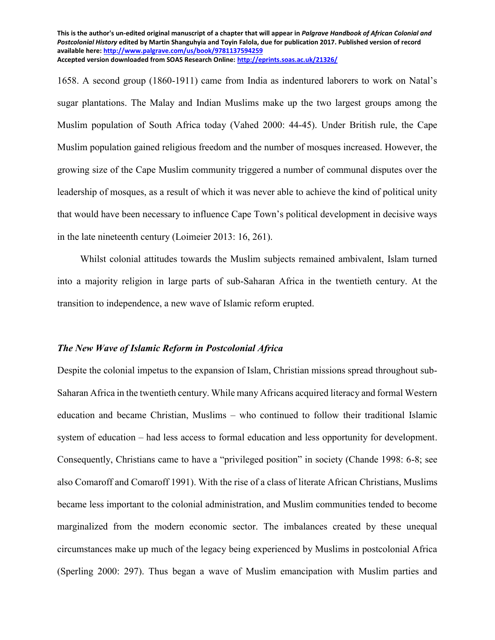1658. A second group (1860-1911) came from India as indentured laborers to work on Natal's sugar plantations. The Malay and Indian Muslims make up the two largest groups among the Muslim population of South Africa today (Vahed 2000: 44-45). Under British rule, the Cape Muslim population gained religious freedom and the number of mosques increased. However, the growing size of the Cape Muslim community triggered a number of communal disputes over the leadership of mosques, as a result of which it was never able to achieve the kind of political unity that would have been necessary to influence Cape Town's political development in decisive ways in the late nineteenth century (Loimeier 2013: 16, 261).

Whilst colonial attitudes towards the Muslim subjects remained ambivalent, Islam turned into a majority religion in large parts of sub-Saharan Africa in the twentieth century. At the transition to independence, a new wave of Islamic reform erupted.

#### *The New Wave of Islamic Reform in Postcolonial Africa*

Despite the colonial impetus to the expansion of Islam, Christian missions spread throughout sub-Saharan Africa in the twentieth century. While many Africans acquired literacy and formal Western education and became Christian, Muslims – who continued to follow their traditional Islamic system of education – had less access to formal education and less opportunity for development. Consequently, Christians came to have a "privileged position" in society (Chande 1998: 6-8; see also Comaroff and Comaroff 1991). With the rise of a class of literate African Christians, Muslims became less important to the colonial administration, and Muslim communities tended to become marginalized from the modern economic sector. The imbalances created by these unequal circumstances make up much of the legacy being experienced by Muslims in postcolonial Africa (Sperling 2000: 297). Thus began a wave of Muslim emancipation with Muslim parties and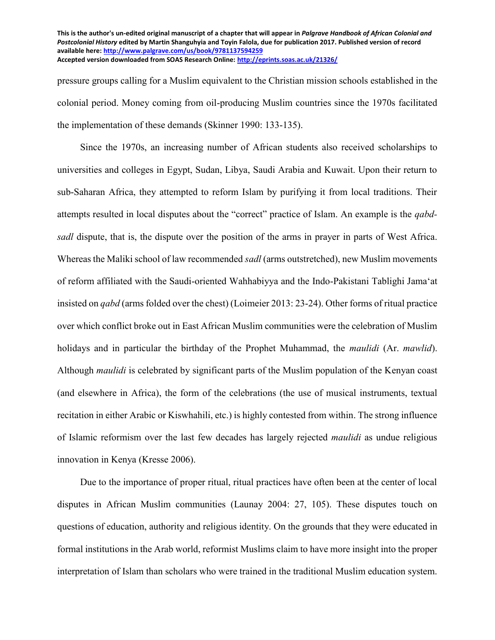pressure groups calling for a Muslim equivalent to the Christian mission schools established in the colonial period. Money coming from oil-producing Muslim countries since the 1970s facilitated the implementation of these demands (Skinner 1990: 133-135).

Since the 1970s, an increasing number of African students also received scholarships to universities and colleges in Egypt, Sudan, Libya, Saudi Arabia and Kuwait. Upon their return to sub-Saharan Africa, they attempted to reform Islam by purifying it from local traditions. Their attempts resulted in local disputes about the "correct" practice of Islam. An example is the *qabdsadl* dispute, that is, the dispute over the position of the arms in prayer in parts of West Africa. Whereas the Maliki school of law recommended *sadl* (arms outstretched), new Muslim movements of reform affiliated with the Saudi-oriented Wahhabiyya and the Indo-Pakistani Tablighi Jamaʻat insisted on *qabd* (arms folded over the chest) (Loimeier 2013: 23-24). Other forms of ritual practice over which conflict broke out in East African Muslim communities were the celebration of Muslim holidays and in particular the birthday of the Prophet Muhammad, the *maulidi* (Ar. *mawlid*). Although *maulidi* is celebrated by significant parts of the Muslim population of the Kenyan coast (and elsewhere in Africa), the form of the celebrations (the use of musical instruments, textual recitation in either Arabic or Kiswhahili, etc.) is highly contested from within. The strong influence of Islamic reformism over the last few decades has largely rejected *maulidi* as undue religious innovation in Kenya (Kresse 2006).

Due to the importance of proper ritual, ritual practices have often been at the center of local disputes in African Muslim communities (Launay 2004: 27, 105). These disputes touch on questions of education, authority and religious identity. On the grounds that they were educated in formal institutions in the Arab world, reformist Muslims claim to have more insight into the proper interpretation of Islam than scholars who were trained in the traditional Muslim education system.

**This is the author's un-edited original manuscript of a chapter that will appear in** *Palgrave Handbook of African Colonial and Postcolonial History* **edited by Martin Shanguhyia and Toyin Falola, due for publication 2017. Published version of record available here:<http://www.palgrave.com/us/book/9781137594259> Accepted version downloaded from SOAS Research Online[: http://eprints.soas.ac.uk/21326/](http://eprints.soas.ac.uk/21326/)**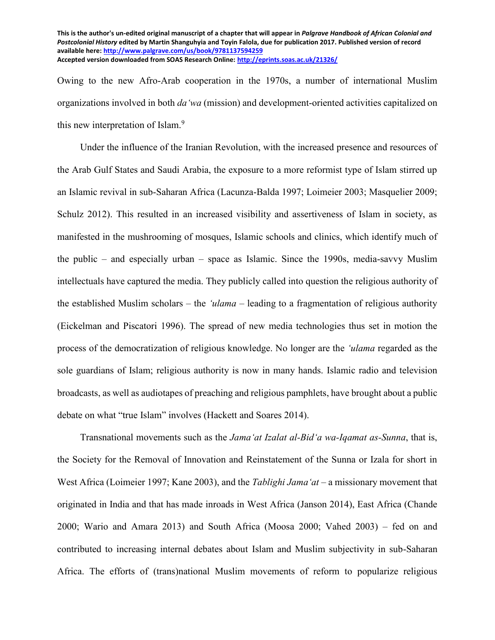Owing to the new Afro-Arab cooperation in the 1970s, a number of international Muslim organizations involved in both *da'wa* (mission) and development-oriented activities capitalized on this new interpretation of Islam.<sup>9</sup>

Under the influence of the Iranian Revolution, with the increased presence and resources of the Arab Gulf States and Saudi Arabia, the exposure to a more reformist type of Islam stirred up an Islamic revival in sub-Saharan Africa (Lacunza-Balda 1997; Loimeier 2003; Masquelier 2009; Schulz 2012). This resulted in an increased visibility and assertiveness of Islam in society, as manifested in the mushrooming of mosques, Islamic schools and clinics, which identify much of the public – and especially urban – space as Islamic. Since the 1990s, media-savvy Muslim intellectuals have captured the media. They publicly called into question the religious authority of the established Muslim scholars – the *ʻulama* – leading to a fragmentation of religious authority (Eickelman and Piscatori 1996). The spread of new media technologies thus set in motion the process of the democratization of religious knowledge. No longer are the *'ulama* regarded as the sole guardians of Islam; religious authority is now in many hands. Islamic radio and television broadcasts, as well as audiotapes of preaching and religious pamphlets, have brought about a public debate on what "true Islam" involves (Hackett and Soares 2014).

Transnational movements such as the *Jamaʻat Izalat al-Bidʻa wa-Iqamat as-Sunna*, that is, the Society for the Removal of Innovation and Reinstatement of the Sunna or Izala for short in West Africa (Loimeier 1997; Kane 2003), and the *Tablighi Jamaʻat* – a missionary movement that originated in India and that has made inroads in West Africa (Janson 2014), East Africa (Chande 2000; Wario and Amara 2013) and South Africa (Moosa 2000; Vahed 2003) – fed on and contributed to increasing internal debates about Islam and Muslim subjectivity in sub-Saharan Africa. The efforts of (trans)national Muslim movements of reform to popularize religious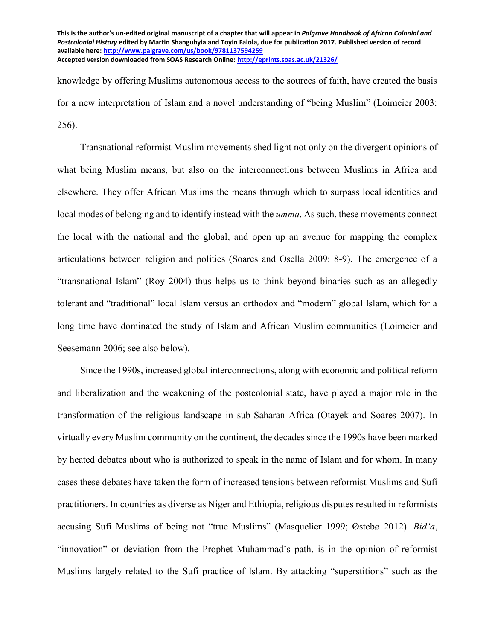knowledge by offering Muslims autonomous access to the sources of faith, have created the basis for a new interpretation of Islam and a novel understanding of "being Muslim" (Loimeier 2003: 256).

Transnational reformist Muslim movements shed light not only on the divergent opinions of what being Muslim means, but also on the interconnections between Muslims in Africa and elsewhere. They offer African Muslims the means through which to surpass local identities and local modes of belonging and to identify instead with the *umma*. As such, these movements connect the local with the national and the global, and open up an avenue for mapping the complex articulations between religion and politics (Soares and Osella 2009: 8-9). The emergence of a "transnational Islam" (Roy 2004) thus helps us to think beyond binaries such as an allegedly tolerant and "traditional" local Islam versus an orthodox and "modern" global Islam, which for a long time have dominated the study of Islam and African Muslim communities (Loimeier and Seesemann 2006; see also below).

Since the 1990s, increased global interconnections, along with economic and political reform and liberalization and the weakening of the postcolonial state, have played a major role in the transformation of the religious landscape in sub-Saharan Africa (Otayek and Soares 2007). In virtually every Muslim community on the continent, the decades since the 1990s have been marked by heated debates about who is authorized to speak in the name of Islam and for whom. In many cases these debates have taken the form of increased tensions between reformist Muslims and Sufi practitioners. In countries as diverse as Niger and Ethiopia, religious disputes resulted in reformists accusing Sufi Muslims of being not "true Muslims" (Masquelier 1999; Østebø 2012). *Bid'a*, "innovation" or deviation from the Prophet Muhammad's path, is in the opinion of reformist Muslims largely related to the Sufi practice of Islam. By attacking "superstitions" such as the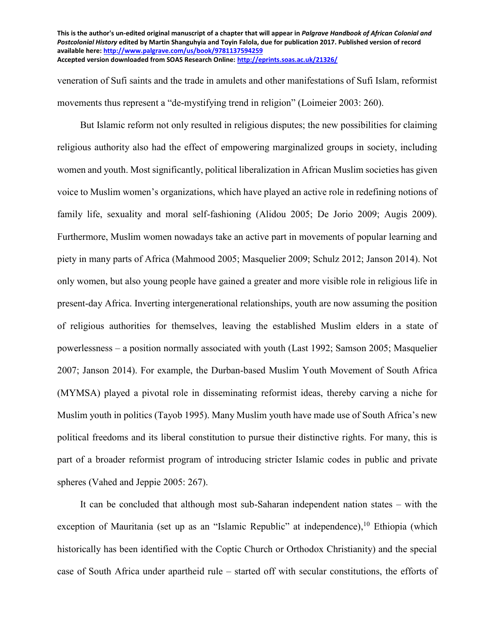veneration of Sufi saints and the trade in amulets and other manifestations of Sufi Islam, reformist movements thus represent a "de-mystifying trend in religion" (Loimeier 2003: 260).

But Islamic reform not only resulted in religious disputes; the new possibilities for claiming religious authority also had the effect of empowering marginalized groups in society, including women and youth. Most significantly, political liberalization in African Muslim societies has given voice to Muslim women's organizations, which have played an active role in redefining notions of family life, sexuality and moral self-fashioning (Alidou 2005; De Jorio 2009; Augis 2009). Furthermore, Muslim women nowadays take an active part in movements of popular learning and piety in many parts of Africa (Mahmood 2005; Masquelier 2009; Schulz 2012; Janson 2014). Not only women, but also young people have gained a greater and more visible role in religious life in present-day Africa. Inverting intergenerational relationships, youth are now assuming the position of religious authorities for themselves, leaving the established Muslim elders in a state of powerlessness – a position normally associated with youth (Last 1992; Samson 2005; Masquelier 2007; Janson 2014). For example, the Durban-based Muslim Youth Movement of South Africa (MYMSA) played a pivotal role in disseminating reformist ideas, thereby carving a niche for Muslim youth in politics (Tayob 1995). Many Muslim youth have made use of South Africa's new political freedoms and its liberal constitution to pursue their distinctive rights. For many, this is part of a broader reformist program of introducing stricter Islamic codes in public and private spheres (Vahed and Jeppie 2005: 267).

It can be concluded that although most sub-Saharan independent nation states – with the exception of Mauritania (set up as an "Islamic Republic" at independence), <sup>10</sup> Ethiopia (which historically has been identified with the Coptic Church or Orthodox Christianity) and the special case of South Africa under apartheid rule – started off with secular constitutions, the efforts of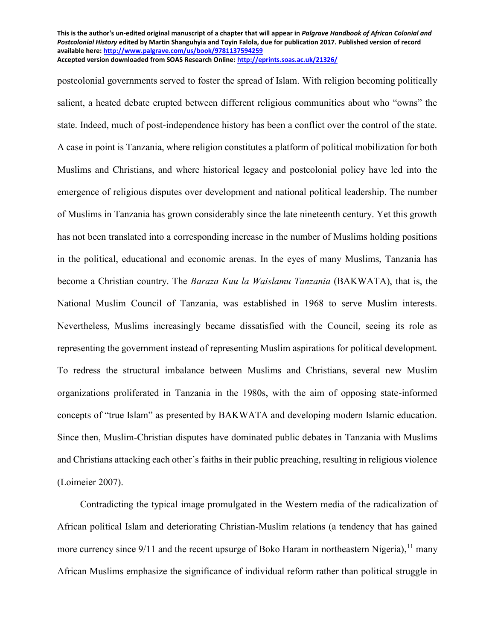postcolonial governments served to foster the spread of Islam. With religion becoming politically salient, a heated debate erupted between different religious communities about who "owns" the state. Indeed, much of post-independence history has been a conflict over the control of the state. A case in point is Tanzania, where religion constitutes a platform of political mobilization for both Muslims and Christians, and where historical legacy and postcolonial policy have led into the emergence of religious disputes over development and national political leadership. The number of Muslims in Tanzania has grown considerably since the late nineteenth century. Yet this growth has not been translated into a corresponding increase in the number of Muslims holding positions in the political, educational and economic arenas. In the eyes of many Muslims, Tanzania has become a Christian country. The *Baraza Kuu la Waislamu Tanzania* (BAKWATA), that is, the National Muslim Council of Tanzania, was established in 1968 to serve Muslim interests. Nevertheless, Muslims increasingly became dissatisfied with the Council, seeing its role as representing the government instead of representing Muslim aspirations for political development. To redress the structural imbalance between Muslims and Christians, several new Muslim organizations proliferated in Tanzania in the 1980s, with the aim of opposing state-informed concepts of "true Islam" as presented by BAKWATA and developing modern Islamic education. Since then, Muslim-Christian disputes have dominated public debates in Tanzania with Muslims and Christians attacking each other's faiths in their public preaching, resulting in religious violence (Loimeier 2007).

Contradicting the typical image promulgated in the Western media of the radicalization of African political Islam and deteriorating Christian-Muslim relations (a tendency that has gained more currency since 9/11 and the recent upsurge of Boko Haram in northeastern Nigeria),<sup>11</sup> many African Muslims emphasize the significance of individual reform rather than political struggle in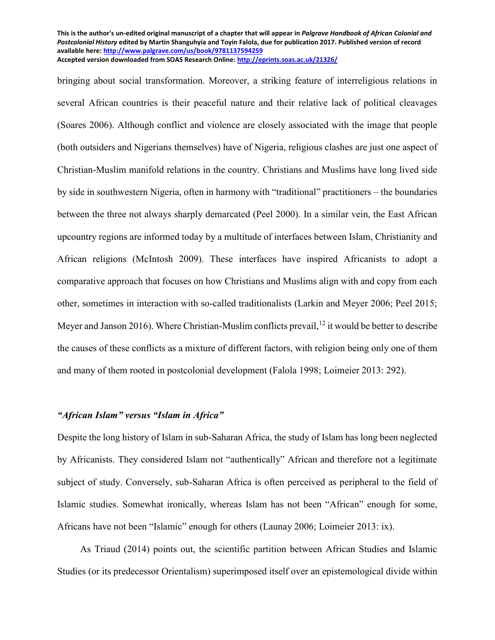bringing about social transformation. Moreover, a striking feature of interreligious relations in several African countries is their peaceful nature and their relative lack of political cleavages (Soares 2006). Although conflict and violence are closely associated with the image that people (both outsiders and Nigerians themselves) have of Nigeria, religious clashes are just one aspect of Christian-Muslim manifold relations in the country. Christians and Muslims have long lived side by side in southwestern Nigeria, often in harmony with "traditional" practitioners – the boundaries between the three not always sharply demarcated (Peel 2000). In a similar vein, the East African upcountry regions are informed today by a multitude of interfaces between Islam, Christianity and African religions (McIntosh 2009). These interfaces have inspired Africanists to adopt a comparative approach that focuses on how Christians and Muslims align with and copy from each other, sometimes in interaction with so-called traditionalists (Larkin and Meyer 2006; Peel 2015; Meyer and Janson 2016). Where Christian-Muslim conflicts prevail,  $^{12}$  it would be better to describe the causes of these conflicts as a mixture of different factors, with religion being only one of them and many of them rooted in postcolonial development (Falola 1998; Loimeier 2013: 292).

# *"African Islam" versus "Islam in Africa"*

Despite the long history of Islam in sub-Saharan Africa, the study of Islam has long been neglected by Africanists. They considered Islam not "authentically" African and therefore not a legitimate subject of study. Conversely, sub-Saharan Africa is often perceived as peripheral to the field of Islamic studies. Somewhat ironically, whereas Islam has not been "African" enough for some, Africans have not been "Islamic" enough for others (Launay 2006; Loimeier 2013: ix).

As Triaud (2014) points out, the scientific partition between African Studies and Islamic Studies (or its predecessor Orientalism) superimposed itself over an epistemological divide within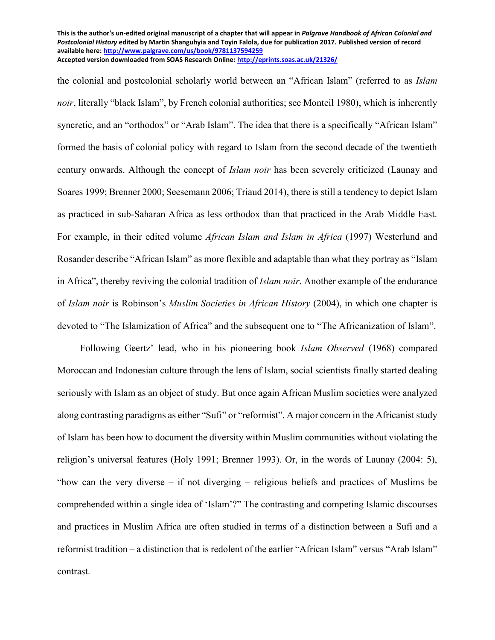the colonial and postcolonial scholarly world between an "African Islam" (referred to as *Islam noir*, literally "black Islam", by French colonial authorities; see Monteil 1980), which is inherently syncretic, and an "orthodox" or "Arab Islam". The idea that there is a specifically "African Islam" formed the basis of colonial policy with regard to Islam from the second decade of the twentieth century onwards. Although the concept of *Islam noir* has been severely criticized (Launay and Soares 1999; Brenner 2000; Seesemann 2006; Triaud 2014), there is still a tendency to depict Islam as practiced in sub-Saharan Africa as less orthodox than that practiced in the Arab Middle East. For example, in their edited volume *African Islam and Islam in Africa* (1997) Westerlund and Rosander describe "African Islam" as more flexible and adaptable than what they portray as "Islam in Africa", thereby reviving the colonial tradition of *Islam noir*. Another example of the endurance of *Islam noir* is Robinson's *Muslim Societies in African History* (2004), in which one chapter is devoted to "The Islamization of Africa" and the subsequent one to "The Africanization of Islam".

Following Geertz' lead, who in his pioneering book *Islam Observed* (1968) compared Moroccan and Indonesian culture through the lens of Islam, social scientists finally started dealing seriously with Islam as an object of study. But once again African Muslim societies were analyzed along contrasting paradigms as either "Sufi" or "reformist". A major concern in the Africanist study of Islam has been how to document the diversity within Muslim communities without violating the religion's universal features (Holy 1991; Brenner 1993). Or, in the words of Launay (2004: 5), "how can the very diverse – if not diverging – religious beliefs and practices of Muslims be comprehended within a single idea of 'Islam'?" The contrasting and competing Islamic discourses and practices in Muslim Africa are often studied in terms of a distinction between a Sufi and a reformist tradition – a distinction that is redolent of the earlier "African Islam" versus "Arab Islam" contrast.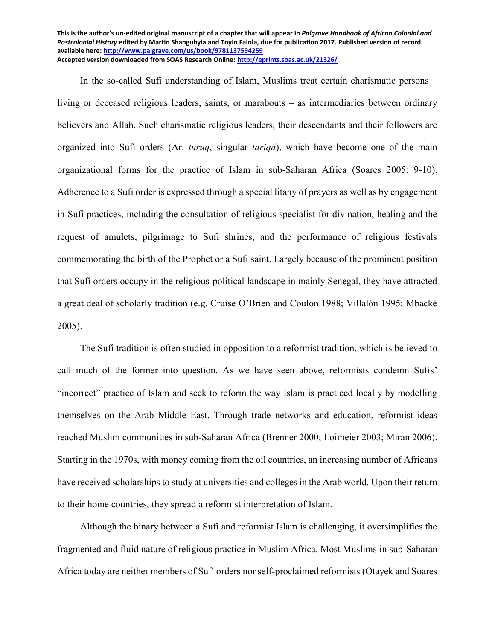In the so-called Sufi understanding of Islam, Muslims treat certain charismatic persons – living or deceased religious leaders, saints, or marabouts – as intermediaries between ordinary believers and Allah. Such charismatic religious leaders, their descendants and their followers are organized into Sufi orders (Ar. *turuq*, singular *tariqa*), which have become one of the main organizational forms for the practice of Islam in sub-Saharan Africa (Soares 2005: 9-10). Adherence to a Sufi order is expressed through a special litany of prayers as well as by engagement in Sufi practices, including the consultation of religious specialist for divination, healing and the request of amulets, pilgrimage to Sufi shrines, and the performance of religious festivals commemorating the birth of the Prophet or a Sufi saint. Largely because of the prominent position that Sufi orders occupy in the religious-political landscape in mainly Senegal, they have attracted a great deal of scholarly tradition (e.g. Cruise O'Brien and Coulon 1988; Villalón 1995; Mbacké 2005).

The Sufi tradition is often studied in opposition to a reformist tradition, which is believed to call much of the former into question. As we have seen above, reformists condemn Sufis' "incorrect" practice of Islam and seek to reform the way Islam is practiced locally by modelling themselves on the Arab Middle East. Through trade networks and education, reformist ideas reached Muslim communities in sub-Saharan Africa (Brenner 2000; Loimeier 2003; Miran 2006). Starting in the 1970s, with money coming from the oil countries, an increasing number of Africans have received scholarships to study at universities and colleges in the Arab world. Upon their return to their home countries, they spread a reformist interpretation of Islam.

Although the binary between a Sufi and reformist Islam is challenging, it oversimplifies the fragmented and fluid nature of religious practice in Muslim Africa. Most Muslims in sub-Saharan Africa today are neither members of Sufi orders nor self-proclaimed reformists (Otayek and Soares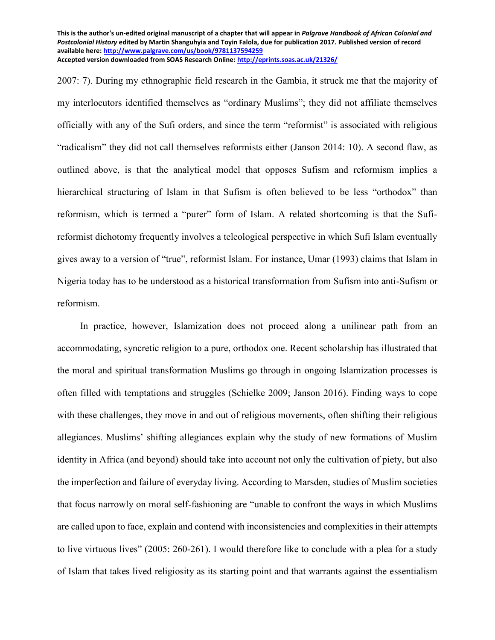2007: 7). During my ethnographic field research in the Gambia, it struck me that the majority of my interlocutors identified themselves as "ordinary Muslims"; they did not affiliate themselves officially with any of the Sufi orders, and since the term "reformist" is associated with religious "radicalism" they did not call themselves reformists either (Janson 2014: 10). A second flaw, as outlined above, is that the analytical model that opposes Sufism and reformism implies a hierarchical structuring of Islam in that Sufism is often believed to be less "orthodox" than reformism, which is termed a "purer" form of Islam. A related shortcoming is that the Sufireformist dichotomy frequently involves a teleological perspective in which Sufi Islam eventually gives away to a version of "true", reformist Islam. For instance, Umar (1993) claims that Islam in Nigeria today has to be understood as a historical transformation from Sufism into anti-Sufism or reformism.

In practice, however, Islamization does not proceed along a unilinear path from an accommodating, syncretic religion to a pure, orthodox one. Recent scholarship has illustrated that the moral and spiritual transformation Muslims go through in ongoing Islamization processes is often filled with temptations and struggles (Schielke 2009; Janson 2016). Finding ways to cope with these challenges, they move in and out of religious movements, often shifting their religious allegiances. Muslims' shifting allegiances explain why the study of new formations of Muslim identity in Africa (and beyond) should take into account not only the cultivation of piety, but also the imperfection and failure of everyday living. According to Marsden, studies of Muslim societies that focus narrowly on moral self-fashioning are "unable to confront the ways in which Muslims are called upon to face, explain and contend with inconsistencies and complexities in their attempts to live virtuous lives" (2005: 260-261). I would therefore like to conclude with a plea for a study of Islam that takes lived religiosity as its starting point and that warrants against the essentialism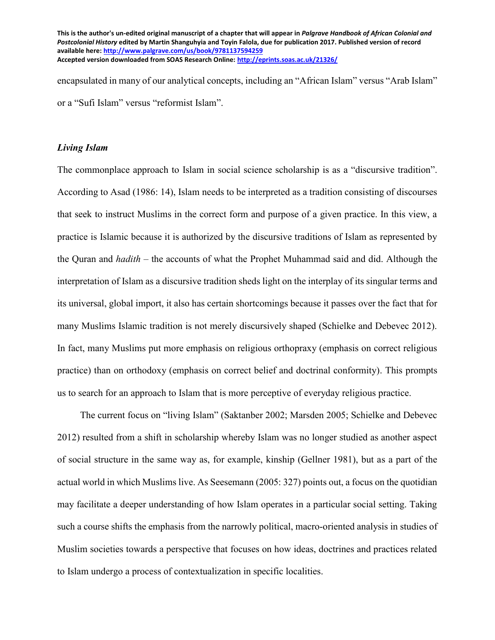encapsulated in many of our analytical concepts, including an "African Islam" versus "Arab Islam" or a "Sufi Islam" versus "reformist Islam".

#### *Living Islam*

The commonplace approach to Islam in social science scholarship is as a "discursive tradition". According to Asad (1986: 14), Islam needs to be interpreted as a tradition consisting of discourses that seek to instruct Muslims in the correct form and purpose of a given practice. In this view, a practice is Islamic because it is authorized by the discursive traditions of Islam as represented by the Quran and *hadith* – the accounts of what the Prophet Muhammad said and did. Although the interpretation of Islam as a discursive tradition sheds light on the interplay of its singular terms and its universal, global import, it also has certain shortcomings because it passes over the fact that for many Muslims Islamic tradition is not merely discursively shaped (Schielke and Debevec 2012). In fact, many Muslims put more emphasis on religious orthopraxy (emphasis on correct religious practice) than on orthodoxy (emphasis on correct belief and doctrinal conformity). This prompts us to search for an approach to Islam that is more perceptive of everyday religious practice.

The current focus on "living Islam" (Saktanber 2002; Marsden 2005; Schielke and Debevec 2012) resulted from a shift in scholarship whereby Islam was no longer studied as another aspect of social structure in the same way as, for example, kinship (Gellner 1981), but as a part of the actual world in which Muslims live. As Seesemann (2005: 327) points out, a focus on the quotidian may facilitate a deeper understanding of how Islam operates in a particular social setting. Taking such a course shifts the emphasis from the narrowly political, macro-oriented analysis in studies of Muslim societies towards a perspective that focuses on how ideas, doctrines and practices related to Islam undergo a process of contextualization in specific localities.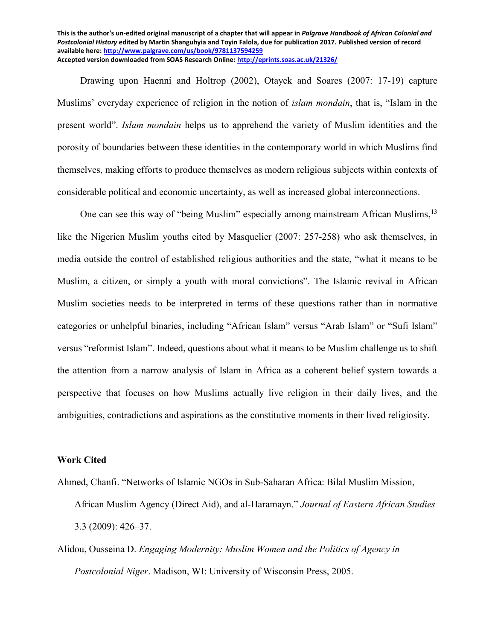Drawing upon Haenni and Holtrop (2002), Otayek and Soares (2007: 17-19) capture Muslims' everyday experience of religion in the notion of *islam mondain*, that is, "Islam in the present world". *Islam mondain* helps us to apprehend the variety of Muslim identities and the porosity of boundaries between these identities in the contemporary world in which Muslims find themselves, making efforts to produce themselves as modern religious subjects within contexts of considerable political and economic uncertainty, as well as increased global interconnections.

One can see this way of "being Muslim" especially among mainstream African Muslims, <sup>13</sup> like the Nigerien Muslim youths cited by Masquelier (2007: 257-258) who ask themselves, in media outside the control of established religious authorities and the state, "what it means to be Muslim, a citizen, or simply a youth with moral convictions". The Islamic revival in African Muslim societies needs to be interpreted in terms of these questions rather than in normative categories or unhelpful binaries, including "African Islam" versus "Arab Islam" or "Sufi Islam" versus "reformist Islam". Indeed, questions about what it means to be Muslim challenge us to shift the attention from a narrow analysis of Islam in Africa as a coherent belief system towards a perspective that focuses on how Muslims actually live religion in their daily lives, and the ambiguities, contradictions and aspirations as the constitutive moments in their lived religiosity.

## **Work Cited**

- Ahmed, Chanfi. "Networks of Islamic NGOs in Sub-Saharan Africa: Bilal Muslim Mission, African Muslim Agency (Direct Aid), and al-Haramayn." *Journal of Eastern African Studies* 3.3 (2009): 426–37.
- Alidou, Ousseina D. *Engaging Modernity: Muslim Women and the Politics of Agency in Postcolonial Niger*. Madison, WI: University of Wisconsin Press, 2005.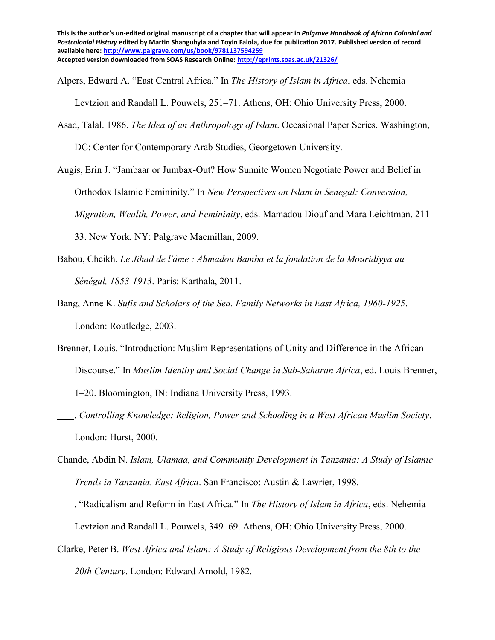Alpers, Edward A. "East Central Africa." In *The History of Islam in Africa*, eds. Nehemia

Levtzion and Randall L. Pouwels, 251–71. Athens, OH: Ohio University Press, 2000.

Asad, Talal. 1986. *The Idea of an Anthropology of Islam*. Occasional Paper Series. Washington,

DC: Center for Contemporary Arab Studies, Georgetown University.

- Augis, Erin J. "Jambaar or Jumbax-Out? How Sunnite Women Negotiate Power and Belief in Orthodox Islamic Femininity." In *New Perspectives on Islam in Senegal: Conversion, Migration, Wealth, Power, and Femininity*, eds. Mamadou Diouf and Mara Leichtman, 211– 33. New York, NY: Palgrave Macmillan, 2009.
- Babou, Cheikh. *Le Jihad de l'âme : Ahmadou Bamba et la fondation de la Mouridiyya au Sénégal, 1853-1913*. Paris: Karthala, 2011.
- Bang, Anne K. *Sufis and Scholars of the Sea. Family Networks in East Africa, 1960-1925*. London: Routledge, 2003.
- Brenner, Louis. "Introduction: Muslim Representations of Unity and Difference in the African Discourse." In *Muslim Identity and Social Change in Sub-Saharan Africa*, ed. Louis Brenner, 1–20. Bloomington, IN: Indiana University Press, 1993.
- . *Controlling Knowledge: Religion, Power and Schooling in a West African Muslim Society*. London: Hurst, 2000.
- Chande, Abdin N. *Islam, Ulamaa, and Community Development in Tanzania: A Study of Islamic Trends in Tanzania, East Africa*. San Francisco: Austin & Lawrier, 1998.
- . "Radicalism and Reform in East Africa." In *The History of Islam in Africa*, eds. Nehemia Levtzion and Randall L. Pouwels, 349–69. Athens, OH: Ohio University Press, 2000.
- Clarke, Peter B. *West Africa and Islam: A Study of Religious Development from the 8th to the 20th Century*. London: Edward Arnold, 1982.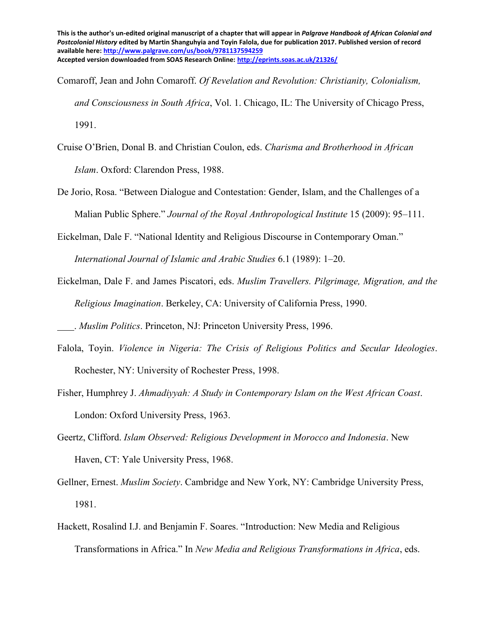Comaroff, Jean and John Comaroff. *Of Revelation and Revolution: Christianity, Colonialism, and Consciousness in South Africa*, Vol. 1. Chicago, IL: The University of Chicago Press, 1991.

- Cruise O'Brien, Donal B. and Christian Coulon, eds. *Charisma and Brotherhood in African Islam*. Oxford: Clarendon Press, 1988.
- De Jorio, Rosa. "Between Dialogue and Contestation: Gender, Islam, and the Challenges of a Malian Public Sphere." *Journal of the Royal Anthropological Institute* 15 (2009): 95–111.

Eickelman, Dale F. "National Identity and Religious Discourse in Contemporary Oman." *International Journal of Islamic and Arabic Studies* 6.1 (1989): 1–20.

- Eickelman, Dale F. and James Piscatori, eds. *Muslim Travellers. Pilgrimage, Migration, and the Religious Imagination*. Berkeley, CA: University of California Press, 1990.
- . *Muslim Politics*. Princeton, NJ: Princeton University Press, 1996.
- Falola, Toyin. *Violence in Nigeria: The Crisis of Religious Politics and Secular Ideologies*. Rochester, NY: University of Rochester Press, 1998.
- Fisher, Humphrey J. *Ahmadiyyah: A Study in Contemporary Islam on the West African Coast*. London: Oxford University Press, 1963.
- Geertz, Clifford. *Islam Observed: Religious Development in Morocco and Indonesia*. New Haven, CT: Yale University Press, 1968.
- Gellner, Ernest. *Muslim Society*. Cambridge and New York, NY: Cambridge University Press, 1981.
- Hackett, Rosalind I.J. and Benjamin F. Soares. "Introduction: New Media and Religious Transformations in Africa." In *New Media and Religious Transformations in Africa*, eds.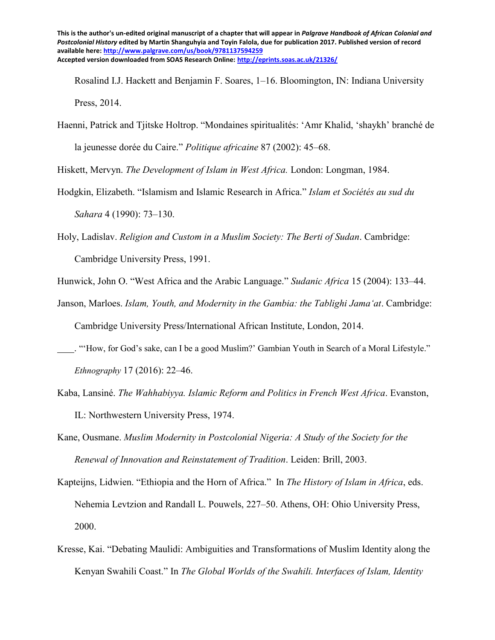Rosalind I.J. Hackett and Benjamin F. Soares, 1–16. Bloomington, IN: Indiana University Press, 2014.

Haenni, Patrick and Tjitske Holtrop. "Mondaines spiritualités: 'Amr Khalid, 'shaykh' branché de la jeunesse dorée du Caire." *Politique africaine* 87 (2002): 45–68.

Hiskett, Mervyn. *The Development of Islam in West Africa.* London: Longman, 1984.

- Hodgkin, Elizabeth. "Islamism and Islamic Research in Africa." *Islam et Sociétés au sud du Sahara* 4 (1990): 73–130.
- Holy, Ladislav. *Religion and Custom in a Muslim Society: The Berti of Sudan*. Cambridge: Cambridge University Press, 1991.
- Hunwick, John O. "West Africa and the Arabic Language." *Sudanic Africa* 15 (2004): 133–44.
- Janson, Marloes. *Islam, Youth, and Modernity in the Gambia: the Tablighi Jamaʻat*. Cambridge: Cambridge University Press/International African Institute, London, 2014.
- . "'How, for God's sake, can I be a good Muslim?' Gambian Youth in Search of a Moral Lifestyle." *Ethnography* 17 (2016): 22–46.
- Kaba, Lansiné. *The Wahhabiyya. Islamic Reform and Politics in French West Africa*. Evanston, IL: Northwestern University Press, 1974.
- Kane, Ousmane. *Muslim Modernity in Postcolonial Nigeria: A Study of the Society for the Renewal of Innovation and Reinstatement of Tradition*. Leiden: Brill, 2003.
- Kapteijns, Lidwien. "Ethiopia and the Horn of Africa." In *The History of Islam in Africa*, eds. Nehemia Levtzion and Randall L. Pouwels, 227–50. Athens, OH: Ohio University Press, 2000.
- Kresse, Kai. "Debating Maulidi: Ambiguities and Transformations of Muslim Identity along the Kenyan Swahili Coast." In *The Global Worlds of the Swahili. Interfaces of Islam, Identity*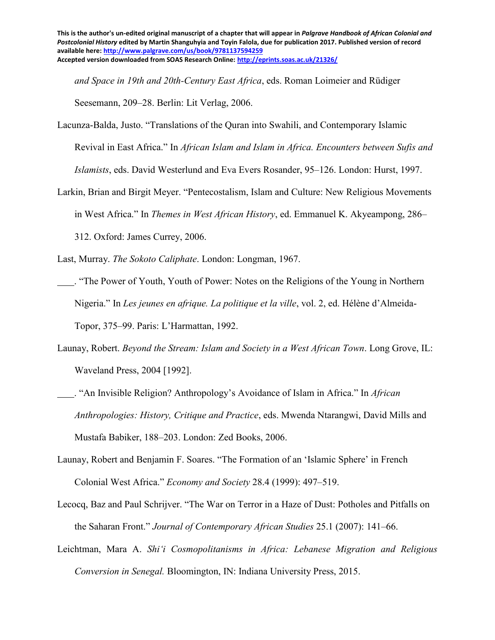*and Space in 19th and 20th-Century East Africa*, eds. Roman Loimeier and Rüdiger Seesemann, 209–28. Berlin: Lit Verlag, 2006.

- Lacunza-Balda, Justo. "Translations of the Quran into Swahili, and Contemporary Islamic Revival in East Africa." In *African Islam and Islam in Africa. Encounters between Sufis and Islamists*, eds. David Westerlund and Eva Evers Rosander, 95–126. London: Hurst, 1997.
- Larkin, Brian and Birgit Meyer. "Pentecostalism, Islam and Culture: New Religious Movements in West Africa." In *Themes in West African History*, ed. Emmanuel K. Akyeampong, 286– 312. Oxford: James Currey, 2006.
- Last, Murray. *The Sokoto Caliphate*. London: Longman, 1967.
- . "The Power of Youth, Youth of Power: Notes on the Religions of the Young in Northern Nigeria." In *Les jeunes en afrique. La politique et la ville*, vol. 2, ed. Hélène d'Almeida-Topor, 375–99. Paris: L'Harmattan, 1992.
- Launay, Robert. *Beyond the Stream: Islam and Society in a West African Town*. Long Grove, IL: Waveland Press, 2004 [1992].
- . "An Invisible Religion? Anthropology's Avoidance of Islam in Africa." In *African Anthropologies: History, Critique and Practice*, eds. Mwenda Ntarangwi, David Mills and Mustafa Babiker, 188–203. London: Zed Books, 2006.
- Launay, Robert and Benjamin F. Soares. "The Formation of an 'Islamic Sphere' in French Colonial West Africa." *Economy and Society* 28.4 (1999): 497–519.
- Lecocq, Baz and Paul Schrijver. "The War on Terror in a Haze of Dust: Potholes and Pitfalls on the Saharan Front." *Journal of Contemporary African Studies* 25.1 (2007): 141–66.
- Leichtman, Mara A. *Shiʻi Cosmopolitanisms in Africa: Lebanese Migration and Religious Conversion in Senegal.* Bloomington, IN: Indiana University Press, 2015.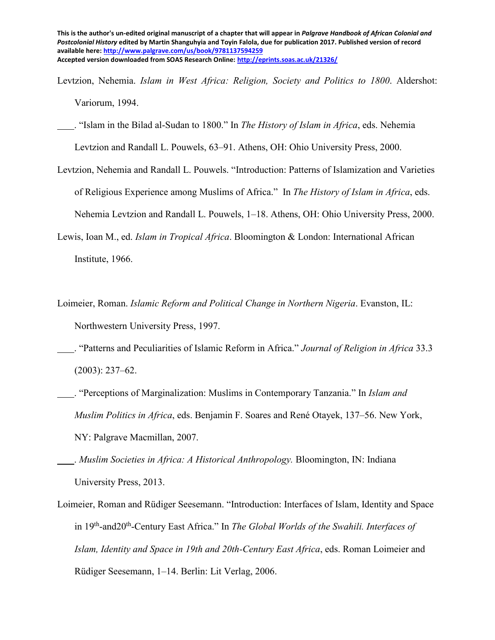Levtzion, Nehemia. *Islam in West Africa: Religion, Society and Politics to 1800*. Aldershot: Variorum, 1994.

 . "Islam in the Bilad al-Sudan to 1800." In *The History of Islam in Africa*, eds. Nehemia Levtzion and Randall L. Pouwels, 63–91. Athens, OH: Ohio University Press, 2000.

- Levtzion, Nehemia and Randall L. Pouwels. "Introduction: Patterns of Islamization and Varieties of Religious Experience among Muslims of Africa." In *The History of Islam in Africa*, eds. Nehemia Levtzion and Randall L. Pouwels, 1–18. Athens, OH: Ohio University Press, 2000.
- Lewis, Ioan M., ed. *Islam in Tropical Africa*. Bloomington & London: International African Institute, 1966.
- Loimeier, Roman. *Islamic Reform and Political Change in Northern Nigeria*. Evanston, IL: Northwestern University Press, 1997.
- . "Patterns and Peculiarities of Islamic Reform in Africa." *Journal of Religion in Africa* 33.3 (2003): 237–62.
- . "Perceptions of Marginalization: Muslims in Contemporary Tanzania." In *Islam and Muslim Politics in Africa*, eds. Benjamin F. Soares and René Otayek, 137–56. New York, NY: Palgrave Macmillan, 2007.
- . *Muslim Societies in Africa: A Historical Anthropology.* Bloomington, IN: Indiana University Press, 2013.
- Loimeier, Roman and Rüdiger Seesemann. "Introduction: Interfaces of Islam, Identity and Space in 19<sup>th</sup>-and20<sup>th</sup>-Century East Africa." In *The Global Worlds of the Swahili. Interfaces of Islam, Identity and Space in 19th and 20th-Century East Africa*, eds. Roman Loimeier and Rüdiger Seesemann, 1–14. Berlin: Lit Verlag, 2006.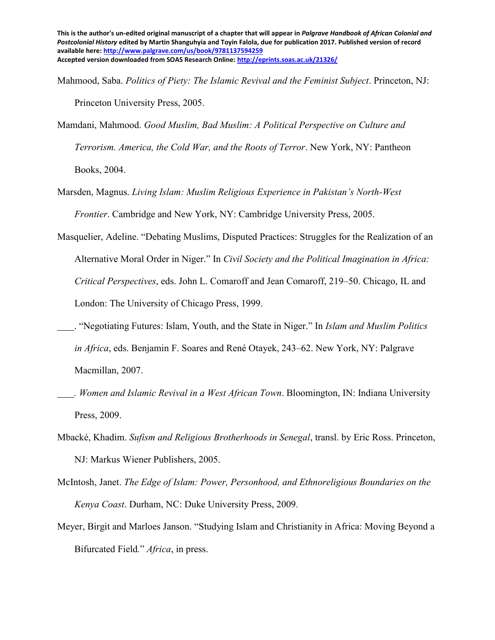- Mahmood, Saba. *Politics of Piety: The Islamic Revival and the Feminist Subject*. Princeton, NJ: Princeton University Press, 2005.
- Mamdani, Mahmood. *Good Muslim, Bad Muslim: A Political Perspective on Culture and Terrorism. America, the Cold War, and the Roots of Terror*. New York, NY: Pantheon Books, 2004.
- Marsden, Magnus. *Living Islam: Muslim Religious Experience in Pakistan's North-West Frontier*. Cambridge and New York, NY: Cambridge University Press, 2005.
- Masquelier, Adeline. "Debating Muslims, Disputed Practices: Struggles for the Realization of an Alternative Moral Order in Niger." In *Civil Society and the Political Imagination in Africa: Critical Perspectives*, eds. John L. Comaroff and Jean Comaroff, 219–50. Chicago, IL and London: The University of Chicago Press, 1999.
- . "Negotiating Futures: Islam, Youth, and the State in Niger." In *Islam and Muslim Politics in Africa*, eds. Benjamin F. Soares and René Otayek, 243–62. New York, NY: Palgrave Macmillan, 2007.
- *. Women and Islamic Revival in a West African Town*. Bloomington, IN: Indiana University Press, 2009.
- Mbacké, Khadim. *Sufism and Religious Brotherhoods in Senegal*, transl. by Eric Ross. Princeton, NJ: Markus Wiener Publishers, 2005.
- McIntosh, Janet. *The Edge of Islam: Power, Personhood, and Ethnoreligious Boundaries on the Kenya Coast*. Durham, NC: Duke University Press, 2009.
- Meyer, Birgit and Marloes Janson. "Studying Islam and Christianity in Africa: Moving Beyond a Bifurcated Field*.*" *Africa*, in press.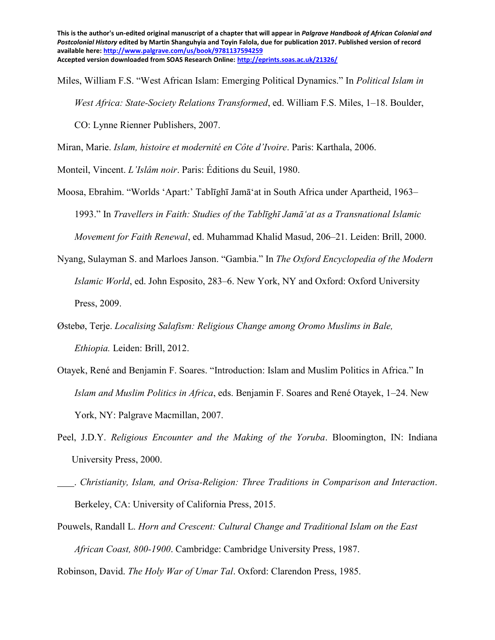Miles, William F.S. "West African Islam: Emerging Political Dynamics." In *Political Islam in West Africa: State-Society Relations Transformed*, ed. William F.S. Miles, 1–18. Boulder, CO: Lynne Rienner Publishers, 2007.

Miran, Marie. *Islam, histoire et modernité en Côte d'Ivoire*. Paris: Karthala, 2006.

Monteil, Vincent. *L'Islâm noir*. Paris: Éditions du Seuil, 1980.

- Moosa, Ebrahim. "Worlds 'Apart:' Tablīghī Jamā'at in South Africa under Apartheid, 1963– 1993." In *Travellers in Faith: Studies of the Tablīghī Jamā'at as a Transnational Islamic Movement for Faith Renewal*, ed. Muhammad Khalid Masud, 206–21. Leiden: Brill, 2000.
- Nyang, Sulayman S. and Marloes Janson. "Gambia." In *The Oxford Encyclopedia of the Modern Islamic World*, ed. John Esposito, 283–6. New York, NY and Oxford: Oxford University Press, 2009.
- Østebø, Terje. *Localising Salafism: Religious Change among Oromo Muslims in Bale, Ethiopia.* Leiden: Brill, 2012.
- Otayek, René and Benjamin F. Soares. "Introduction: Islam and Muslim Politics in Africa." In *Islam and Muslim Politics in Africa*, eds. Benjamin F. Soares and René Otayek, 1–24. New York, NY: Palgrave Macmillan, 2007.
- Peel, J.D.Y. *Religious Encounter and the Making of the Yoruba*. Bloomington, IN: Indiana University Press, 2000.
- . *Christianity, Islam, and Orisa-Religion: Three Traditions in Comparison and Interaction*. Berkeley, CA: University of California Press, 2015.
- Pouwels, Randall L. *Horn and Crescent: Cultural Change and Traditional Islam on the East African Coast, 800-1900*. Cambridge: Cambridge University Press, 1987.

Robinson, David. *The Holy War of Umar Tal*. Oxford: Clarendon Press, 1985.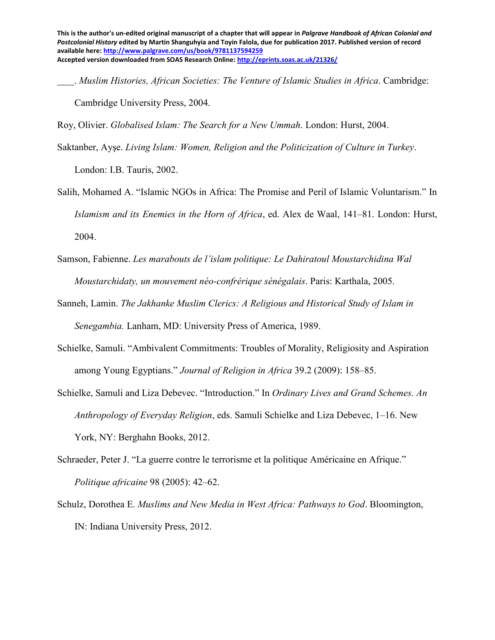. *Muslim Histories, African Societies: The Venture of Islamic Studies in Africa*. Cambridge: Cambridge University Press, 2004.

Roy, Olivier. *Globalised Islam: The Search for a New Ummah*. London: Hurst, 2004.

Saktanber, Ayşe. *Living Islam: Women, Religion and the Politicization of Culture in Turkey*.

London: I.B. Tauris, 2002.

- Salih, Mohamed A. "Islamic NGOs in Africa: The Promise and Peril of Islamic Voluntarism." In *Islamism and its Enemies in the Horn of Africa*, ed. Alex de Waal, 141–81. London: Hurst, 2004.
- Samson, Fabienne. *Les marabouts de l'islam politique: Le Dahiratoul Moustarchidina Wal Moustarchidaty, un mouvement néo-confrérique sénégalais*. Paris: Karthala, 2005.
- Sanneh, Lamin. *The Jakhanke Muslim Clerics: A Religious and Historical Study of Islam in Senegambia.* Lanham, MD: University Press of America, 1989.
- Schielke, Samuli. "Ambivalent Commitments: Troubles of Morality, Religiosity and Aspiration among Young Egyptians." *Journal of Religion in Africa* 39.2 (2009): 158–85.
- Schielke, Samuli and Liza Debevec. "Introduction." In *Ordinary Lives and Grand Schemes. An Anthropology of Everyday Religion*, eds. Samuli Schielke and Liza Debevec, 1–16. New York, NY: Berghahn Books, 2012.
- Schraeder, Peter J. "La guerre contre le terrorisme et la politique Américaine en Afrique." *Politique africaine* 98 (2005): 42–62.
- Schulz, Dorothea E. *Muslims and New Media in West Africa: Pathways to God*. Bloomington, IN: Indiana University Press, 2012.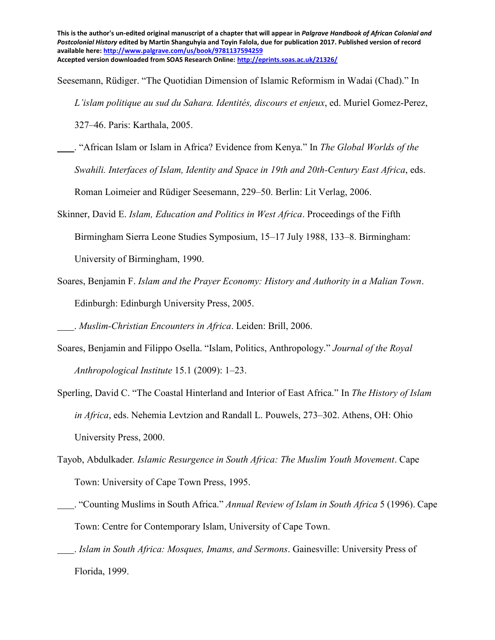Seesemann, Rüdiger. "The Quotidian Dimension of Islamic Reformism in Wadai (Chad)." In

*L'islam politique au sud du Sahara. Identités, discours et enjeux*, ed. Muriel Gomez-Perez,

327–46. Paris: Karthala, 2005.

 . "African Islam or Islam in Africa? Evidence from Kenya." In *The Global Worlds of the Swahili. Interfaces of Islam, Identity and Space in 19th and 20th-Century East Africa*, eds.

Roman Loimeier and Rüdiger Seesemann, 229–50. Berlin: Lit Verlag, 2006.

- Skinner, David E. *Islam, Education and Politics in West Africa*. Proceedings of the Fifth Birmingham Sierra Leone Studies Symposium, 15–17 July 1988, 133–8. Birmingham: University of Birmingham, 1990.
- Soares, Benjamin F. *Islam and the Prayer Economy: History and Authority in a Malian Town*. Edinburgh: Edinburgh University Press, 2005.

. *Muslim-Christian Encounters in Africa*. Leiden: Brill, 2006.

- Soares, Benjamin and Filippo Osella. "Islam, Politics, Anthropology." *Journal of the Royal Anthropological Institute* 15.1 (2009): 1–23.
- Sperling, David C. "The Coastal Hinterland and Interior of East Africa." In *The History of Islam in Africa*, eds. Nehemia Levtzion and Randall L. Pouwels, 273–302. Athens, OH: Ohio University Press, 2000.
- Tayob, Abdulkader*. Islamic Resurgence in South Africa: The Muslim Youth Movement*. Cape Town: University of Cape Town Press, 1995.
- . "Counting Muslims in South Africa." *Annual Review of Islam in South Africa* 5 (1996). Cape Town: Centre for Contemporary Islam, University of Cape Town.
- . *Islam in South Africa: Mosques, Imams, and Sermons*. Gainesville: University Press of Florida, 1999.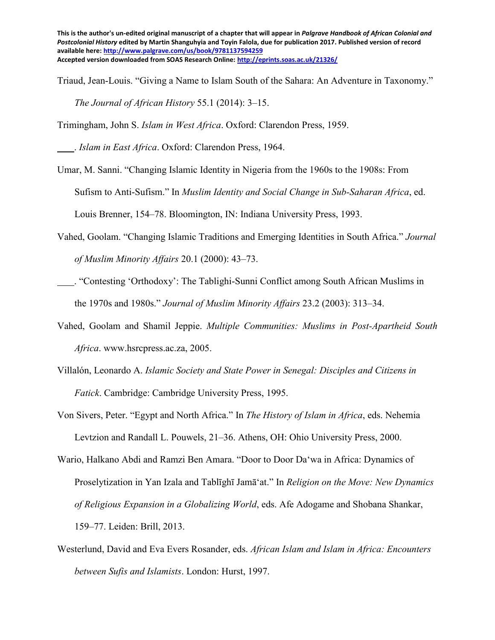Triaud, Jean-Louis. "Giving a Name to Islam South of the Sahara: An Adventure in Taxonomy." *The Journal of African History* 55.1 (2014): 3–15.

Trimingham, John S. *Islam in West Africa*. Oxford: Clarendon Press, 1959.

. *Islam in East Africa*. Oxford: Clarendon Press, 1964.

Umar, M. Sanni. "Changing Islamic Identity in Nigeria from the 1960s to the 1908s: From Sufism to Anti-Sufism." In *Muslim Identity and Social Change in Sub-Saharan Africa*, ed. Louis Brenner, 154–78. Bloomington, IN: Indiana University Press, 1993.

- Vahed, Goolam. "Changing Islamic Traditions and Emerging Identities in South Africa." *Journal of Muslim Minority Affairs* 20.1 (2000): 43–73.
- . "Contesting 'Orthodoxy': The Tablighi-Sunni Conflict among South African Muslims in the 1970s and 1980s." *Journal of Muslim Minority Affairs* 23.2 (2003): 313–34.
- Vahed, Goolam and Shamil Jeppie. *Multiple Communities: Muslims in Post-Apartheid South Africa*. [www.hsrcpress.ac.za,](http://www.hsrcpress.ac.za/) 2005.
- Villalón, Leonardo A. *Islamic Society and State Power in Senegal: Disciples and Citizens in Fatick*. Cambridge: Cambridge University Press, 1995.
- Von Sivers, Peter. "Egypt and North Africa." In *The History of Islam in Africa*, eds. Nehemia Levtzion and Randall L. Pouwels, 21–36. Athens, OH: Ohio University Press, 2000.
- Wario, Halkano Abdi and Ramzi Ben Amara. "Door to Door Daʻwa in Africa: Dynamics of Proselytization in Yan Izala and Tablīghī Jamā'at." In *Religion on the Move: New Dynamics of Religious Expansion in a Globalizing World*, eds. Afe Adogame and Shobana Shankar, 159–77. Leiden: Brill, 2013.
- Westerlund, David and Eva Evers Rosander, eds. *African Islam and Islam in Africa: Encounters between Sufis and Islamists*. London: Hurst, 1997.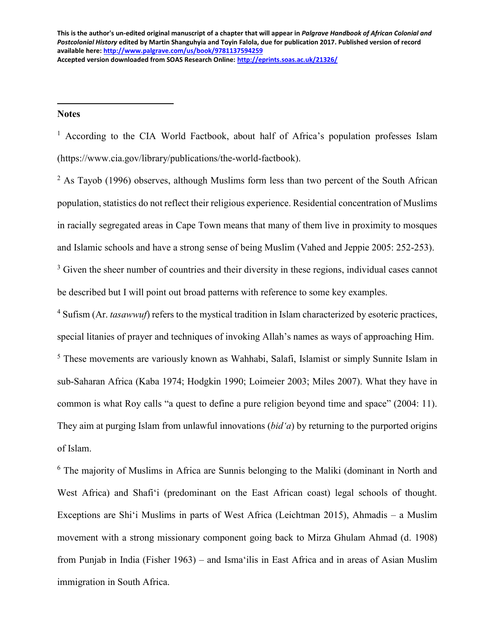**Notes**

 $\overline{a}$ 

<sup>1</sup> According to the CIA World Factbook, about half of Africa's population professes Islam (https://www.cia.gov/library/publications/the-world-factbook).

 $2$  As Tayob (1996) observes, although Muslims form less than two percent of the South African population, statistics do not reflect their religious experience. Residential concentration of Muslims in racially segregated areas in Cape Town means that many of them live in proximity to mosques and Islamic schools and have a strong sense of being Muslim (Vahed and Jeppie 2005: 252-253).

<sup>3</sup> Given the sheer number of countries and their diversity in these regions, individual cases cannot be described but I will point out broad patterns with reference to some key examples.

<sup>4</sup> Sufism (Ar. *tasawwuf*) refers to the mystical tradition in Islam characterized by esoteric practices, special litanies of prayer and techniques of invoking Allah's names as ways of approaching Him. <sup>5</sup> These movements are variously known as Wahhabi, Salafi, Islamist or simply Sunnite Islam in sub-Saharan Africa (Kaba 1974; Hodgkin 1990; Loimeier 2003; Miles 2007). What they have in common is what Roy calls "a quest to define a pure religion beyond time and space" (2004: 11). They aim at purging Islam from unlawful innovations (*bidʻa*) by returning to the purported origins of Islam.

<sup>6</sup> The majority of Muslims in Africa are Sunnis belonging to the Maliki (dominant in North and West Africa) and Shafiʻi (predominant on the East African coast) legal schools of thought. Exceptions are Shiʻi Muslims in parts of West Africa (Leichtman 2015), Ahmadis – a Muslim movement with a strong missionary component going back to Mirza Ghulam Ahmad (d. 1908) from Punjab in India (Fisher 1963) – and Ismaʻilis in East Africa and in areas of Asian Muslim immigration in South Africa.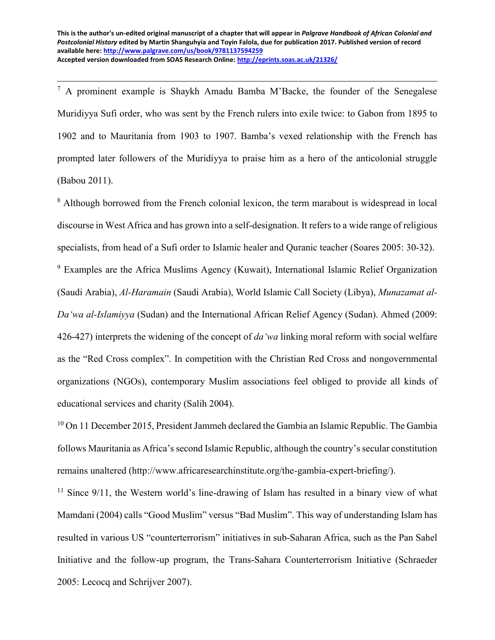$\overline{a}$ 

 $7$  A prominent example is Shaykh Amadu Bamba M'Backe, the founder of the Senegalese Muridiyya Sufi order, who was sent by the French rulers into exile twice: to Gabon from 1895 to 1902 and to Mauritania from 1903 to 1907. Bamba's vexed relationship with the French has prompted later followers of the Muridiyya to praise him as a hero of the anticolonial struggle (Babou 2011).

<sup>8</sup> Although borrowed from the French colonial lexicon, the term marabout is widespread in local discourse in West Africa and has grown into a self-designation. It refers to a wide range of religious specialists, from head of a Sufi order to Islamic healer and Quranic teacher (Soares 2005: 30-32).

<sup>9</sup> Examples are the Africa Muslims Agency (Kuwait), International Islamic Relief Organization (Saudi Arabia), *Al-Haramain* (Saudi Arabia), World Islamic Call Society (Libya), *Munazamat al-Da'wa al-Islamiyya* (Sudan) and the International African Relief Agency (Sudan). Ahmed (2009: 426-427) interprets the widening of the concept of *da'wa* linking moral reform with social welfare as the "Red Cross complex". In competition with the Christian Red Cross and nongovernmental organizations (NGOs), contemporary Muslim associations feel obliged to provide all kinds of educational services and charity (Salih 2004).

<sup>10</sup> On 11 December 2015, President Jammeh declared the Gambia an Islamic Republic. The Gambia follows Mauritania as Africa's second Islamic Republic, although the country's secular constitution remains unaltered (http://www.africaresearchinstitute.org/the-gambia-expert-briefing/).

 $11$  Since 9/11, the Western world's line-drawing of Islam has resulted in a binary view of what Mamdani (2004) calls "Good Muslim" versus "Bad Muslim". This way of understanding Islam has resulted in various US "counterterrorism" initiatives in sub-Saharan Africa, such as the Pan Sahel Initiative and the follow-up program, the Trans-Sahara Counterterrorism Initiative (Schraeder 2005: Lecocq and Schrijver 2007).